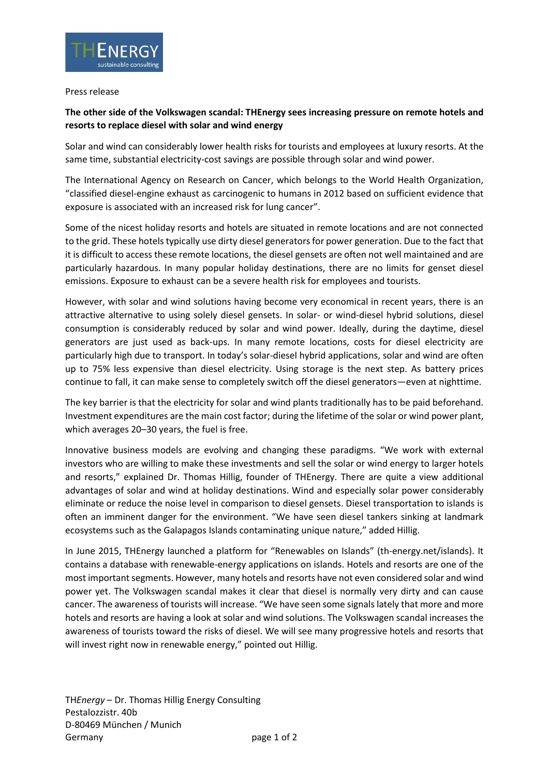

## Press release

## **The other side of the Volkswagen scandal: THEnergy sees increasing pressure on remote hotels and resorts to replace diesel with solar and wind energy**

Solar and wind can considerably lower health risks for tourists and employees at luxury resorts. At the same time, substantial electricity-cost savings are possible through solar and wind power.

The International Agency on Research on Cancer, which belongs to the World Health Organization, "classified diesel-engine exhaust as carcinogenic to humans in 2012 based on sufficient evidence that exposure is associated with an increased risk for lung cancer".

Some of the nicest holiday resorts and hotels are situated in remote locations and are not connected to the grid. These hotels typically use dirty diesel generators for power generation. Due to the fact that it is difficult to access these remote locations, the diesel gensets are often not well maintained and are particularly hazardous. In many popular holiday destinations, there are no limits for genset diesel emissions. Exposure to exhaust can be a severe health risk for employees and tourists.

However, with solar and wind solutions having become very economical in recent years, there is an attractive alternative to using solely diesel gensets. In solar- or wind-diesel hybrid solutions, diesel consumption is considerably reduced by solar and wind power. Ideally, during the daytime, diesel generators are just used as back-ups. In many remote locations, costs for diesel electricity are particularly high due to transport. In today's solar-diesel hybrid applications, solar and wind are often up to 75% less expensive than diesel electricity. Using storage is the next step. As battery prices continue to fall, it can make sense to completely switch off the diesel generators—even at nighttime.

The key barrier is that the electricity for solar and wind plants traditionally has to be paid beforehand. Investment expenditures are the main cost factor; during the lifetime of the solar or wind power plant, which averages 20–30 years, the fuel is free.

Innovative business models are evolving and changing these paradigms. "We work with external investors who are willing to make these investments and sell the solar or wind energy to larger hotels and resorts," explained Dr. Thomas Hillig, founder of THEnergy. There are quite a view additional advantages of solar and wind at holiday destinations. Wind and especially solar power considerably eliminate or reduce the noise level in comparison to diesel gensets. Diesel transportation to islands is often an imminent danger for the environment. "We have seen diesel tankers sinking at landmark ecosystems such as the Galapagos Islands contaminating unique nature," added Hillig.

In June 2015, THEnergy launched a platform for "Renewables on Islands" (th-energy.net/islands). It contains a database with renewable-energy applications on islands. Hotels and resorts are one of the most important segments. However, many hotels and resorts have not even considered solar and wind power yet. The Volkswagen scandal makes it clear that diesel is normally very dirty and can cause cancer. The awareness of tourists will increase. "We have seen some signals lately that more and more hotels and resorts are having a look at solar and wind solutions. The Volkswagen scandal increases the awareness of tourists toward the risks of diesel. We will see many progressive hotels and resorts that will invest right now in renewable energy," pointed out Hillig.